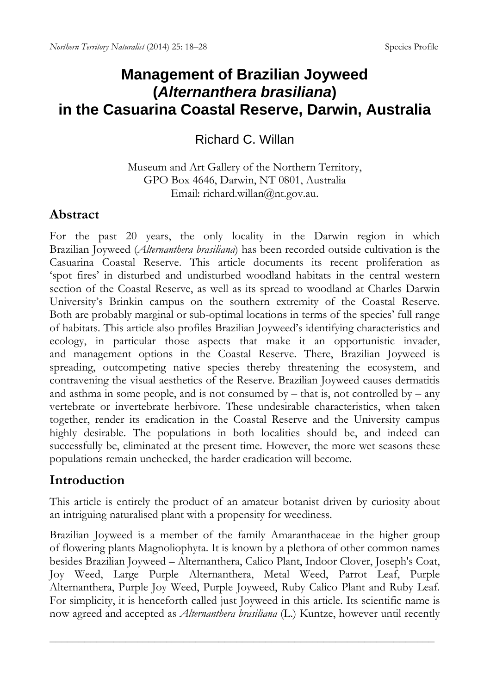# **Management of Brazilian Joyweed (***Alternanthera brasiliana***) in the Casuarina Coastal Reserve, Darwin, Australia**

Richard C. Willan

Museum and Art Gallery of the Northern Territory, GPO Box 4646, Darwin, NT 0801, Australia Email: richard.willan@nt.gov.au.

### **Abstract**

For the past 20 years, the only locality in the Darwin region in which Brazilian Joyweed (*Alternanthera brasiliana*) has been recorded outside cultivation is the Casuarina Coastal Reserve. This article documents its recent proliferation as 'spot fires' in disturbed and undisturbed woodland habitats in the central western section of the Coastal Reserve, as well as its spread to woodland at Charles Darwin University's Brinkin campus on the southern extremity of the Coastal Reserve. Both are probably marginal or sub-optimal locations in terms of the species' full range of habitats. This article also profiles Brazilian Joyweed's identifying characteristics and ecology, in particular those aspects that make it an opportunistic invader, and management options in the Coastal Reserve. There, Brazilian Joyweed is spreading, outcompeting native species thereby threatening the ecosystem, and contravening the visual aesthetics of the Reserve. Brazilian Joyweed causes dermatitis and asthma in some people, and is not consumed by  $-$  that is, not controlled by  $-$  any vertebrate or invertebrate herbivore. These undesirable characteristics, when taken together, render its eradication in the Coastal Reserve and the University campus highly desirable. The populations in both localities should be, and indeed can successfully be, eliminated at the present time. However, the more wet seasons these populations remain unchecked, the harder eradication will become.

### **Introduction**

This article is entirely the product of an amateur botanist driven by curiosity about an intriguing naturalised plant with a propensity for weediness.

Brazilian Joyweed is a member of the family Amaranthaceae in the higher group of flowering plants Magnoliophyta. It is known by a plethora of other common names besides Brazilian Joyweed – Alternanthera, Calico Plant, Indoor Clover, Joseph's Coat, Joy Weed, Large Purple Alternanthera, Metal Weed, Parrot Leaf, Purple Alternanthera, Purple Joy Weed, Purple Joyweed, Ruby Calico Plant and Ruby Leaf. For simplicity, it is henceforth called just Joyweed in this article. Its scientific name is now agreed and accepted as *Alternanthera brasiliana* (L.) Kuntze, however until recently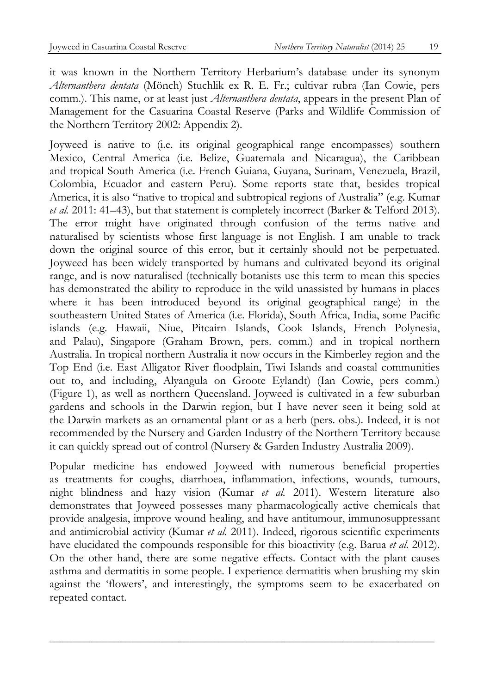it was known in the Northern Territory Herbarium's database under its synonym *Alternanthera dentata* (Mönch) Stuchlik ex R. E. Fr.; cultivar rubra (Ian Cowie, pers comm.). This name, or at least just *Alternanthera dentata*, appears in the present Plan of Management for the Casuarina Coastal Reserve (Parks and Wildlife Commission of the Northern Territory 2002: Appendix 2).

Joyweed is native to (i.e. its original geographical range encompasses) southern Mexico, Central America (i.e. Belize, Guatemala and Nicaragua), the Caribbean and tropical South America (i.e. French Guiana, Guyana, Surinam, Venezuela, Brazil, Colombia, Ecuador and eastern Peru). Some reports state that, besides tropical America, it is also "native to tropical and subtropical regions of Australia" (e.g. Kumar *et al.* 2011: 41–43), but that statement is completely incorrect (Barker & Telford 2013). The error might have originated through confusion of the terms native and naturalised by scientists whose first language is not English. I am unable to track down the original source of this error, but it certainly should not be perpetuated. Joyweed has been widely transported by humans and cultivated beyond its original range, and is now naturalised (technically botanists use this term to mean this species has demonstrated the ability to reproduce in the wild unassisted by humans in places where it has been introduced beyond its original geographical range) in the southeastern United States of America (i.e. Florida), South Africa, India, some Pacific islands (e.g. Hawaii, Niue, Pitcairn Islands, Cook Islands, French Polynesia, and Palau), Singapore (Graham Brown, pers. comm.) and in tropical northern Australia. In tropical northern Australia it now occurs in the Kimberley region and the Top End (i.e. East Alligator River floodplain, Tiwi Islands and coastal communities out to, and including, Alyangula on Groote Eylandt) (Ian Cowie, pers comm.) (Figure 1), as well as northern Queensland. Joyweed is cultivated in a few suburban gardens and schools in the Darwin region, but I have never seen it being sold at the Darwin markets as an ornamental plant or as a herb (pers. obs.). Indeed, it is not recommended by the Nursery and Garden Industry of the Northern Territory because it can quickly spread out of control (Nursery & Garden Industry Australia 2009).

Popular medicine has endowed Joyweed with numerous beneficial properties as treatments for coughs, diarrhoea, inflammation, infections, wounds, tumours, night blindness and hazy vision (Kumar *et al.* 2011). Western literature also demonstrates that Joyweed possesses many pharmacologically active chemicals that provide analgesia, improve wound healing, and have antitumour, immunosuppressant and antimicrobial activity (Kumar *et al.* 2011). Indeed, rigorous scientific experiments have elucidated the compounds responsible for this bioactivity (e.g. Barua *et al.* 2012). On the other hand, there are some negative effects. Contact with the plant causes asthma and dermatitis in some people. I experience dermatitis when brushing my skin against the 'flowers', and interestingly, the symptoms seem to be exacerbated on repeated contact.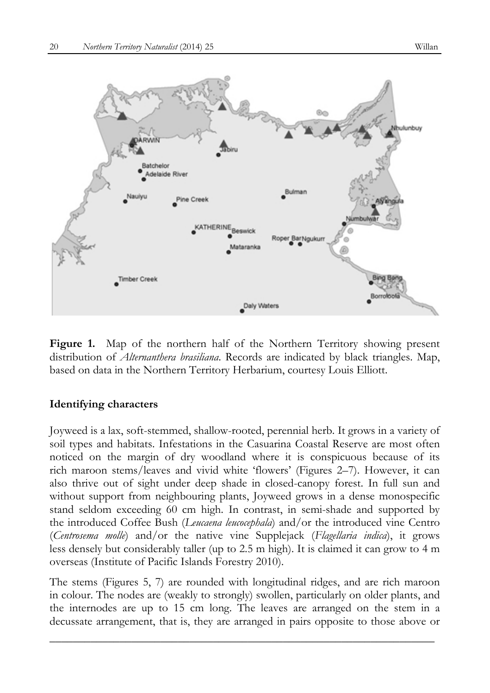



**Figure 1.** Map of the northern half of the Northern Territory showing present distribution of *Alternanthera brasiliana*. Records are indicated by black triangles. Map, based on data in the Northern Territory Herbarium, courtesy Louis Elliott.

#### **Identifying characters**

Joyweed is a lax, soft-stemmed, shallow-rooted, perennial herb. It grows in a variety of soil types and habitats. Infestations in the Casuarina Coastal Reserve are most often noticed on the margin of dry woodland where it is conspicuous because of its rich maroon stems/leaves and vivid white 'flowers' (Figures 2–7). However, it can also thrive out of sight under deep shade in closed-canopy forest. In full sun and without support from neighbouring plants, Joyweed grows in a dense monospecific stand seldom exceeding 60 cm high. In contrast, in semi-shade and supported by the introduced Coffee Bush (*Leucaena leucocephala*) and/or the introduced vine Centro (*Centrosema molle*) and/or the native vine Supplejack (*Flagellaria indica*), it grows less densely but considerably taller (up to 2.5 m high). It is claimed it can grow to 4 m overseas (Institute of Pacific Islands Forestry 2010).

The stems (Figures 5, 7) are rounded with longitudinal ridges, and are rich maroon in colour. The nodes are (weakly to strongly) swollen, particularly on older plants, and the internodes are up to 15 cm long. The leaves are arranged on the stem in a decussate arrangement, that is, they are arranged in pairs opposite to those above or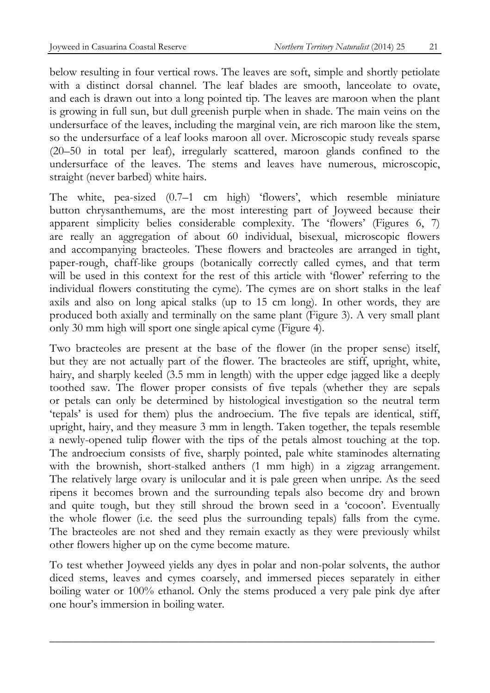below resulting in four vertical rows. The leaves are soft, simple and shortly petiolate with a distinct dorsal channel. The leaf blades are smooth, lanceolate to ovate, and each is drawn out into a long pointed tip. The leaves are maroon when the plant is growing in full sun, but dull greenish purple when in shade. The main veins on the undersurface of the leaves, including the marginal vein, are rich maroon like the stem, so the undersurface of a leaf looks maroon all over. Microscopic study reveals sparse (20–50 in total per leaf), irregularly scattered, maroon glands confined to the undersurface of the leaves. The stems and leaves have numerous, microscopic, straight (never barbed) white hairs.

The white, pea-sized (0.7–1 cm high) 'flowers', which resemble miniature button chrysanthemums, are the most interesting part of Joyweed because their apparent simplicity belies considerable complexity. The 'flowers' (Figures 6, 7) are really an aggregation of about 60 individual, bisexual, microscopic flowers and accompanying bracteoles. These flowers and bracteoles are arranged in tight, paper-rough, chaff-like groups (botanically correctly called cymes, and that term will be used in this context for the rest of this article with 'flower' referring to the individual flowers constituting the cyme). The cymes are on short stalks in the leaf axils and also on long apical stalks (up to 15 cm long). In other words, they are produced both axially and terminally on the same plant (Figure 3). A very small plant only 30 mm high will sport one single apical cyme (Figure 4).

Two bracteoles are present at the base of the flower (in the proper sense) itself, but they are not actually part of the flower. The bracteoles are stiff, upright, white, hairy, and sharply keeled (3.5 mm in length) with the upper edge jagged like a deeply toothed saw. The flower proper consists of five tepals (whether they are sepals or petals can only be determined by histological investigation so the neutral term 'tepals' is used for them) plus the androecium. The five tepals are identical, stiff, upright, hairy, and they measure 3 mm in length. Taken together, the tepals resemble a newly-opened tulip flower with the tips of the petals almost touching at the top. The androecium consists of five, sharply pointed, pale white staminodes alternating with the brownish, short-stalked anthers (1 mm high) in a zigzag arrangement. The relatively large ovary is unilocular and it is pale green when unripe. As the seed ripens it becomes brown and the surrounding tepals also become dry and brown and quite tough, but they still shroud the brown seed in a 'cocoon'. Eventually the whole flower (i.e. the seed plus the surrounding tepals) falls from the cyme. The bracteoles are not shed and they remain exactly as they were previously whilst other flowers higher up on the cyme become mature.

To test whether Joyweed yields any dyes in polar and non-polar solvents, the author diced stems, leaves and cymes coarsely, and immersed pieces separately in either boiling water or 100% ethanol. Only the stems produced a very pale pink dye after one hour's immersion in boiling water.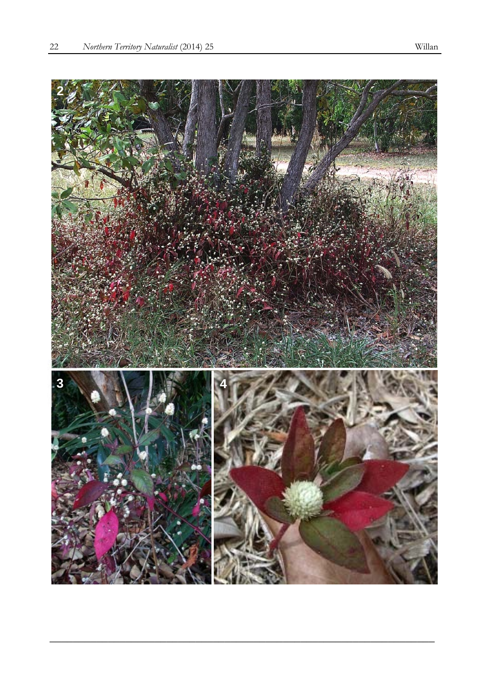

\_\_\_\_\_\_\_\_\_\_\_\_\_\_\_\_\_\_\_\_\_\_\_\_\_\_\_\_\_\_\_\_\_\_\_\_\_\_\_\_\_\_\_\_\_\_\_\_\_\_\_\_\_\_\_\_\_\_\_\_\_\_\_\_\_\_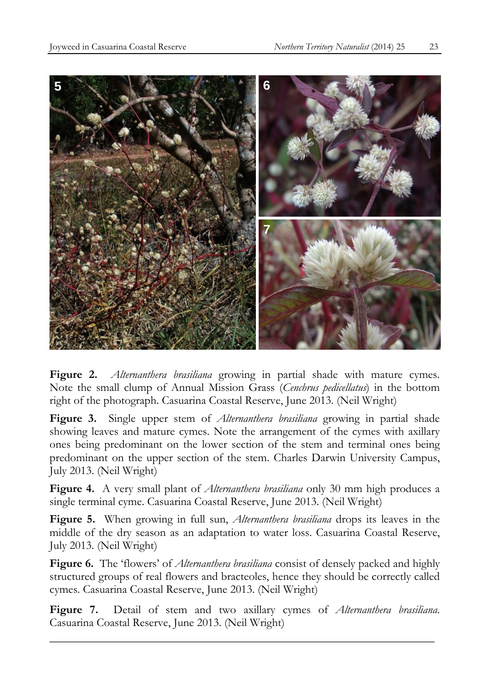

**Figure 2.** *Alternanthera brasiliana* growing in partial shade with mature cymes. Note the small clump of Annual Mission Grass (*Cenchrus pedicellatus*) in the bottom right of the photograph. Casuarina Coastal Reserve, June 2013. (Neil Wright)

**Figure 3.** Single upper stem of *Alternanthera brasiliana* growing in partial shade showing leaves and mature cymes. Note the arrangement of the cymes with axillary ones being predominant on the lower section of the stem and terminal ones being predominant on the upper section of the stem. Charles Darwin University Campus, July 2013. (Neil Wright)

**Figure 4.** A very small plant of *Alternanthera brasiliana* only 30 mm high produces a single terminal cyme. Casuarina Coastal Reserve, June 2013. (Neil Wright)

**Figure 5.** When growing in full sun, *Alternanthera brasiliana* drops its leaves in the middle of the dry season as an adaptation to water loss. Casuarina Coastal Reserve, July 2013. (Neil Wright)

**Figure 6.** The 'flowers' of *Alternanthera brasiliana* consist of densely packed and highly structured groups of real flowers and bracteoles, hence they should be correctly called cymes. Casuarina Coastal Reserve, June 2013. (Neil Wright)

 $\overline{\phantom{a}}$  , and the contract of the contract of the contract of the contract of the contract of the contract of the contract of the contract of the contract of the contract of the contract of the contract of the contrac **Figure 7.** Detail of stem and two axillary cymes of *Alternanthera brasiliana*. Casuarina Coastal Reserve, June 2013. (Neil Wright)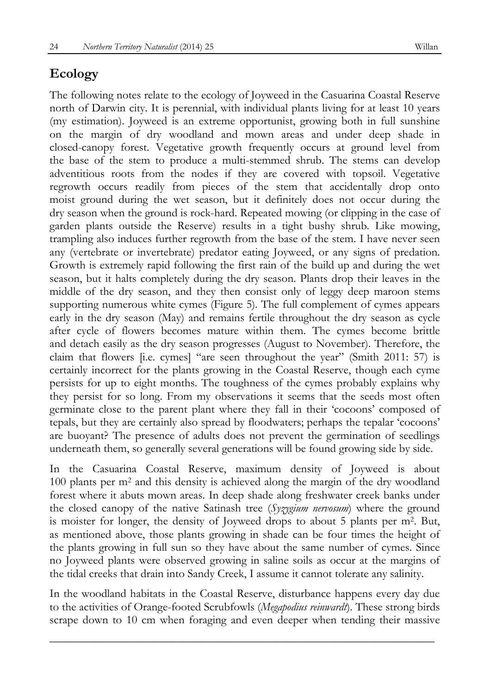## **Ecology**

The following notes relate to the ecology of Joyweed in the Casuarina Coastal Reserve north of Darwin city. It is perennial, with individual plants living for at least 10 years (my estimation). Joyweed is an extreme opportunist, growing both in full sunshine on the margin of dry woodland and mown areas and under deep shade in closed-canopy forest. Vegetative growth frequently occurs at ground level from the base of the stem to produce a multi-stemmed shrub. The stems can develop adventitious roots from the nodes if they are covered with topsoil. Vegetative regrowth occurs readily from pieces of the stem that accidentally drop onto moist ground during the wet season, but it definitely does not occur during the dry season when the ground is rock-hard. Repeated mowing (or clipping in the case of garden plants outside the Reserve) results in a tight bushy shrub. Like mowing, trampling also induces further regrowth from the base of the stem. I have never seen any (vertebrate or invertebrate) predator eating Joyweed, or any signs of predation. Growth is extremely rapid following the first rain of the build up and during the wet season, but it halts completely during the dry season. Plants drop their leaves in the middle of the dry season, and they then consist only of leggy deep maroon stems supporting numerous white cymes (Figure 5). The full complement of cymes appears early in the dry season (May) and remains fertile throughout the dry season as cycle after cycle of flowers becomes mature within them. The cymes become brittle and detach easily as the dry season progresses (August to November). Therefore, the claim that flowers [i.e. cymes] "are seen throughout the year" (Smith 2011: 57) is certainly incorrect for the plants growing in the Coastal Reserve, though each cyme persists for up to eight months. The toughness of the cymes probably explains why they persist for so long. From my observations it seems that the seeds most often germinate close to the parent plant where they fall in their 'cocoons' composed of tepals, but they are certainly also spread by floodwaters; perhaps the tepalar 'cocoons' are buoyant? The presence of adults does not prevent the germination of seedlings underneath them, so generally several generations will be found growing side by side.

In the Casuarina Coastal Reserve, maximum density of Joyweed is about 100 plants per m2 and this density is achieved along the margin of the dry woodland forest where it abuts mown areas. In deep shade along freshwater creek banks under the closed canopy of the native Satinash tree (*Syzygium nervosum*) where the ground is moister for longer, the density of Joyweed drops to about 5 plants per m<sup>2</sup>. But, as mentioned above, those plants growing in shade can be four times the height of the plants growing in full sun so they have about the same number of cymes. Since no Joyweed plants were observed growing in saline soils as occur at the margins of the tidal creeks that drain into Sandy Creek, I assume it cannot tolerate any salinity.

In the woodland habitats in the Coastal Reserve, disturbance happens every day due to the activities of Orange-footed Scrubfowls (*Megapodius reinwardt*). These strong birds scrape down to 10 cm when foraging and even deeper when tending their massive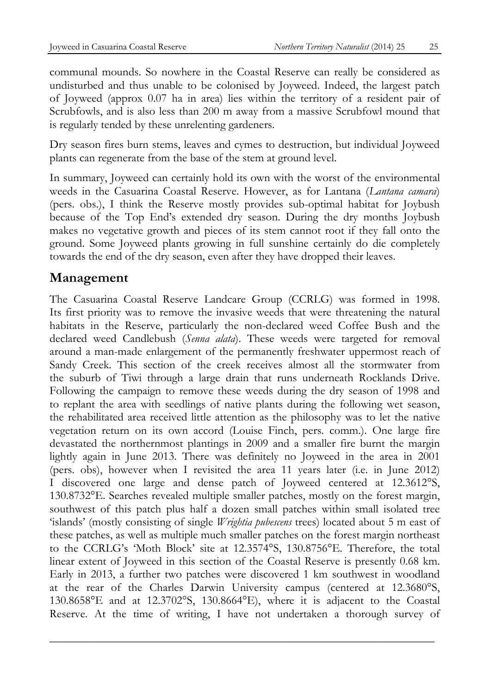communal mounds. So nowhere in the Coastal Reserve can really be considered as undisturbed and thus unable to be colonised by Joyweed. Indeed, the largest patch of Joyweed (approx 0.07 ha in area) lies within the territory of a resident pair of Scrubfowls, and is also less than 200 m away from a massive Scrubfowl mound that is regularly tended by these unrelenting gardeners.

Dry season fires burn stems, leaves and cymes to destruction, but individual Joyweed plants can regenerate from the base of the stem at ground level.

In summary, Joyweed can certainly hold its own with the worst of the environmental weeds in the Casuarina Coastal Reserve. However, as for Lantana (*Lantana camara*) (pers. obs.), I think the Reserve mostly provides sub-optimal habitat for Joybush because of the Top End's extended dry season. During the dry months Joybush makes no vegetative growth and pieces of its stem cannot root if they fall onto the ground. Some Joyweed plants growing in full sunshine certainly do die completely towards the end of the dry season, even after they have dropped their leaves.

#### **Management**

The Casuarina Coastal Reserve Landcare Group (CCRLG) was formed in 1998. Its first priority was to remove the invasive weeds that were threatening the natural habitats in the Reserve, particularly the non-declared weed Coffee Bush and the declared weed Candlebush (*Senna alata*). These weeds were targeted for removal around a man-made enlargement of the permanently freshwater uppermost reach of Sandy Creek. This section of the creek receives almost all the stormwater from the suburb of Tiwi through a large drain that runs underneath Rocklands Drive. Following the campaign to remove these weeds during the dry season of 1998 and to replant the area with seedlings of native plants during the following wet season, the rehabilitated area received little attention as the philosophy was to let the native vegetation return on its own accord (Louise Finch, pers. comm.). One large fire devastated the northernmost plantings in 2009 and a smaller fire burnt the margin lightly again in June 2013. There was definitely no Joyweed in the area in 2001 (pers. obs), however when I revisited the area 11 years later (i.e. in June 2012) I discovered one large and dense patch of Joyweed centered at 12.3612°S, 130.8732°E. Searches revealed multiple smaller patches, mostly on the forest margin, southwest of this patch plus half a dozen small patches within small isolated tree 'islands' (mostly consisting of single *Wrightia pubescens* trees) located about 5 m east of these patches, as well as multiple much smaller patches on the forest margin northeast to the CCRLG's 'Moth Block' site at 12.3574°S, 130.8756°E. Therefore, the total linear extent of Joyweed in this section of the Coastal Reserve is presently 0.68 km. Early in 2013, a further two patches were discovered 1 km southwest in woodland at the rear of the Charles Darwin University campus (centered at 12.3680°S, 130.8658°E and at 12.3702°S, 130.8664°E), where it is adjacent to the Coastal Reserve. At the time of writing, I have not undertaken a thorough survey of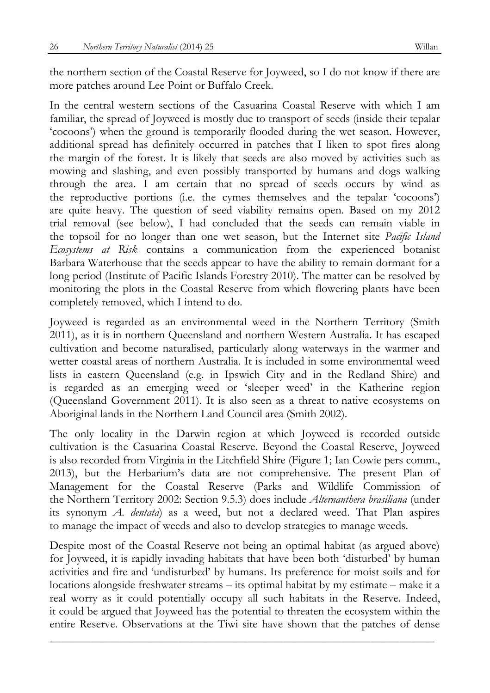the northern section of the Coastal Reserve for Joyweed, so I do not know if there are more patches around Lee Point or Buffalo Creek.

In the central western sections of the Casuarina Coastal Reserve with which I am familiar, the spread of Joyweed is mostly due to transport of seeds (inside their tepalar 'cocoons') when the ground is temporarily flooded during the wet season. However, additional spread has definitely occurred in patches that I liken to spot fires along the margin of the forest. It is likely that seeds are also moved by activities such as mowing and slashing, and even possibly transported by humans and dogs walking through the area. I am certain that no spread of seeds occurs by wind as the reproductive portions (i.e. the cymes themselves and the tepalar 'cocoons') are quite heavy. The question of seed viability remains open. Based on my 2012 trial removal (see below), I had concluded that the seeds can remain viable in the topsoil for no longer than one wet season, but the Internet site *Pacific Island Ecosystems at Risk* contains a communication from the experienced botanist Barbara Waterhouse that the seeds appear to have the ability to remain dormant for a long period (Institute of Pacific Islands Forestry 2010). The matter can be resolved by monitoring the plots in the Coastal Reserve from which flowering plants have been completely removed, which I intend to do.

Joyweed is regarded as an environmental weed in the Northern Territory (Smith 2011), as it is in northern Queensland and northern Western Australia. It has escaped cultivation and become naturalised, particularly along waterways in the warmer and wetter coastal areas of northern Australia. It is included in some environmental weed lists in eastern Queensland (e.g. in Ipswich City and in the Redland Shire) and is regarded as an emerging weed or 'sleeper weed' in the Katherine region (Queensland Government 2011). It is also seen as a threat to native ecosystems on Aboriginal lands in the Northern Land Council area (Smith 2002).

The only locality in the Darwin region at which Joyweed is recorded outside cultivation is the Casuarina Coastal Reserve. Beyond the Coastal Reserve, Joyweed is also recorded from Virginia in the Litchfield Shire (Figure 1; Ian Cowie pers comm., 2013), but the Herbarium's data are not comprehensive. The present Plan of Management for the Coastal Reserve (Parks and Wildlife Commission of the Northern Territory 2002: Section 9.5.3) does include *Alternanthera brasiliana* (under its synonym *A. dentata*) as a weed, but not a declared weed. That Plan aspires to manage the impact of weeds and also to develop strategies to manage weeds.

Despite most of the Coastal Reserve not being an optimal habitat (as argued above) for Joyweed, it is rapidly invading habitats that have been both 'disturbed' by human activities and fire and 'undisturbed' by humans. Its preference for moist soils and for locations alongside freshwater streams – its optimal habitat by my estimate – make it a real worry as it could potentially occupy all such habitats in the Reserve. Indeed, it could be argued that Joyweed has the potential to threaten the ecosystem within the entire Reserve. Observations at the Tiwi site have shown that the patches of dense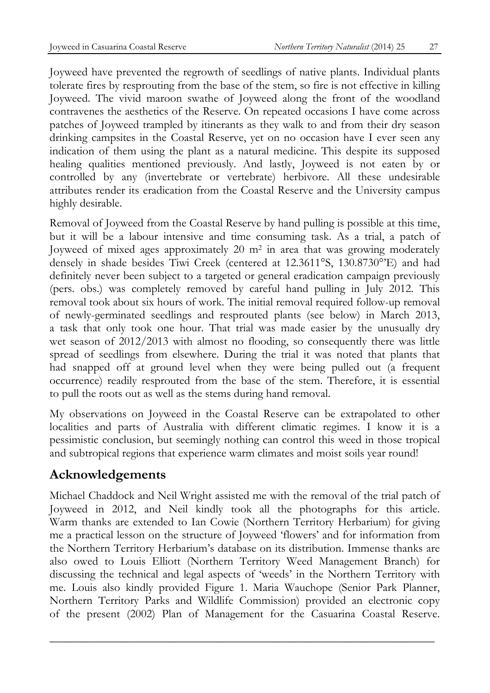Joyweed have prevented the regrowth of seedlings of native plants. Individual plants tolerate fires by resprouting from the base of the stem, so fire is not effective in killing Joyweed. The vivid maroon swathe of Joyweed along the front of the woodland contravenes the aesthetics of the Reserve. On repeated occasions I have come across patches of Joyweed trampled by itinerants as they walk to and from their dry season drinking campsites in the Coastal Reserve, yet on no occasion have I ever seen any indication of them using the plant as a natural medicine. This despite its supposed healing qualities mentioned previously. And lastly, Joyweed is not eaten by or controlled by any (invertebrate or vertebrate) herbivore. All these undesirable attributes render its eradication from the Coastal Reserve and the University campus highly desirable.

Removal of Joyweed from the Coastal Reserve by hand pulling is possible at this time, but it will be a labour intensive and time consuming task. As a trial, a patch of Joyweed of mixed ages approximately 20 m2 in area that was growing moderately densely in shade besides Tiwi Creek (centered at 12.3611°S, 130.8730°'E) and had definitely never been subject to a targeted or general eradication campaign previously (pers. obs.) was completely removed by careful hand pulling in July 2012. This removal took about six hours of work. The initial removal required follow-up removal of newly-germinated seedlings and resprouted plants (see below) in March 2013, a task that only took one hour. That trial was made easier by the unusually dry wet season of 2012/2013 with almost no flooding, so consequently there was little spread of seedlings from elsewhere. During the trial it was noted that plants that had snapped off at ground level when they were being pulled out (a frequent occurrence) readily resprouted from the base of the stem. Therefore, it is essential to pull the roots out as well as the stems during hand removal.

My observations on Joyweed in the Coastal Reserve can be extrapolated to other localities and parts of Australia with different climatic regimes. I know it is a pessimistic conclusion, but seemingly nothing can control this weed in those tropical and subtropical regions that experience warm climates and moist soils year round!

### **Acknowledgements**

Michael Chaddock and Neil Wright assisted me with the removal of the trial patch of Joyweed in 2012, and Neil kindly took all the photographs for this article. Warm thanks are extended to Ian Cowie (Northern Territory Herbarium) for giving me a practical lesson on the structure of Joyweed 'flowers' and for information from the Northern Territory Herbarium's database on its distribution. Immense thanks are also owed to Louis Elliott (Northern Territory Weed Management Branch) for discussing the technical and legal aspects of 'weeds' in the Northern Territory with me. Louis also kindly provided Figure 1. Maria Wauchope (Senior Park Planner, Northern Territory Parks and Wildlife Commission) provided an electronic copy of the present (2002) Plan of Management for the Casuarina Coastal Reserve.